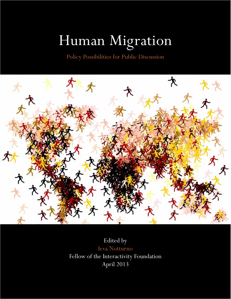# Human Migration

Policy Possibilities for Public Discussion



Edited by Ieva Notturno Fellow of the Interactivity Foundation April 2013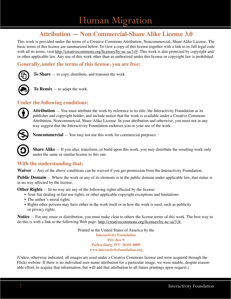### **Attribution — Non Commercial-Share Alike License 3.0**

This work is provided under the terms of a Creative Commons Attribution, Noncommercial, Share Alike License. The basic terms of this license are summarized below. To view a copy of this license together with a link to its full legal code with all its terms, visit http://creativecommons.org/licenses/by-nc-sa/3.0/. This work is also protected by copyright and/ or other applicable law. Any use of this work other than as authorized under this license or copyright law is prohibited.

#### **Generally, under the terms of this license, you are free:**



**To Share** — to copy, distribute, and transmit the work.



**To Remix** — to adapt the work.

#### **Under the following conditions:**



**Attribution** — You must attribute the work by reference to its title, the Interactivity Foundation as its publisher and copyright holder, and include notice that the work is available under a Creative Commons Attribution, Noncommercial, Share-Alike License. In your attribution and otherwise, you must not in any way suggest that the Interactivity Foundation endorses you or your use of the work.



**Noncommercial** — You may not use this work for commercial purposes.

**Share Alike** – If you alter, transform, or build upon this work, you may distribute the resulting work only under the same or similar license to this one.

#### **With the understanding that:**

**Waiver** — Any of the above conditions can be waived if you get permission from the Interactivity Foundation.

**Public Domain** — Where the work or any of its elements is in the public domain under applicable law, that status is in no way affected by the license.

**Other Rights** — In no way are any of the following rights affected by the license:

- Your fair dealing or fair use rights, or other applicable copyright exceptions and limitations
- The author's moral rights
- Rights other persons may have either in the work itself or in how the work is used, such as publicity or privacy rights.

**Notice** — For any reuse or distribution, you must make clear to others the license terms of this work. The best way to do this is with a link to the following Web page: http://creativecommons.org/licenses/by-nc-sa/3.0/.

> Printed in the United States of America by the **Interactivity Foundation P.O. Box 9 Parkersburg, WV 26101-0009 www.interactivityfoundation.org**

(Unless otherwise indicated, all images are used under a Creative Commons license and were acquired through the Flickr website. If there is no individual user-name attribution for a particular image, we were unable, despite reasonable effort, to acquire that information, but will add that attribution to all future printings upon request.)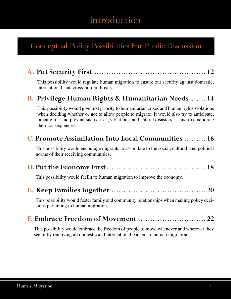# Introduction

# Conceptual Policy Possibilities For Public Discussion

|--|--|--|--|--|

This possibility would regulate human migration to ensure our security against domestic, international, and cross-border threats.

### **B. Privilege Human Rights & Humanitarian Needs . . . . . . . 14**

This possibility would give first priority to humanitarian crises and human rights violations when deciding whether or not to allow people to migrate. It would also try to anticipate, prepare for, and prevent such crises, violations, and natural disasters — and to ameliorate their consequences.

### **C. Promote Assimilation Into Local Communities . . . . . . . . . 16**

This possibility would encourage migrants to assimilate to the social, cultural, and political norms of their receiving communities.

|--|--|--|--|

This possibility would facilitate human migration to improve the economy.

| This possibility would foster family and community relationships when making policy deci- |  |
|-------------------------------------------------------------------------------------------|--|
| sions pertaining to human migration.                                                      |  |

|--|--|--|

This possibility would embrace the freedom of people to move whenever and wherever they see fit by removing all domestic and international barriers to human migration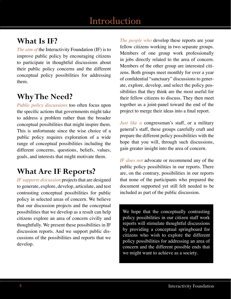### **What Is IF?**

*The aim of the Interactivity Foundation (IF) is to* improve public policy by encouraging citizens to participate in thoughtful discussions about their public policy concerns and the different conceptual policy possibilities for addressing them.

# **Why The Need?**

*Public policy discussions* too often focus upon the specific actions that governments might take to address a problem rather than the broader conceptual possibilities that might inspire them. This is unfortunate since the wise choice of a public policy requires exploration of a wide range of conceptual possibilities including the different concerns, questions, beliefs, values, goals, and interests that might motivate them.

# **What Are IF Reports?**

*IF supports discussion* projects that are designed to generate, explore, develop, articulate, and test contrasting conceptual possibilities for public policy in selected areas of concern. We believe that our discussion projects and the conceptual possibilities that we develop as a result can help citizens explore an area of concern civilly and thoughtfully. We present these possibilities in IF discussion reports. And we support public discussions of the possibilities and reports that we develop.

*The people who* develop these reports are your fellow citizens working in two separate groups. Members of one group work professionally in jobs directly related to the area of concern. Members of the other group are interested citizens. Both groups meet monthly for over a year of confidential "sanctuary" discussions to generate, explore, develop, and select the policy possibilities that they think are the most useful for their fellow citizens to discuss. They then meet together as a joint-panel toward the end of the project to merge their ideas into a final report.

*Just like a* congressman's staff, or a military general's staff, these groups carefully craft and prepare the different policy possibilities with the hope that you will, through such discussions, gain greater insight into the area of concern.

*IF does not* advocate or recommend any of the public policy possibilities in our reports. There are, on the contrary, possibilities in our reports that none of the participants who prepared the document supported yet still felt needed to be included as part of the public discussion.

We hope that the conceptually contrasting policy possibilities in our citizen staff work reports will stimulate thoughtful discussions by providing a conceptual springboard for citizens who wish to explore the different policy possibilities for addressing an area of concern and the different possible ends that we might want to achieve as a society.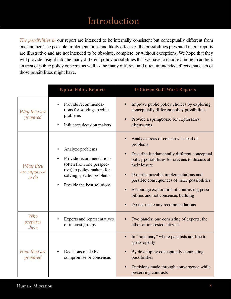# **Posting Introduction**

*The possibilities in* our report are intended to be internally consistent but conceptually different from one another. The possible implementations and likely effects of the possibilities presented in our reports are illustrative and are not intended to be absolute, complete, or without exceptions. We hope that they will provide insight into the many different policy possibilities that we have to choose among to address an area of public policy concern, as well as the many different and often unintended effects that each of those possibilities might have.

|                                    | <b>Typical Policy Reports</b>                                                                                                                                    | <b>IF Citizen Staff-Work Reports</b>                                                                                                                                                                                                                                                                                                                                                  |
|------------------------------------|------------------------------------------------------------------------------------------------------------------------------------------------------------------|---------------------------------------------------------------------------------------------------------------------------------------------------------------------------------------------------------------------------------------------------------------------------------------------------------------------------------------------------------------------------------------|
| Why they are<br>prepared           | Provide recommenda-<br>tions for solving specific<br>problems<br>Influence decision makers                                                                       | Improve public policy choices by exploring<br>conceptually different policy possibilities<br>Provide a springboard for exploratory<br>discussions                                                                                                                                                                                                                                     |
| What they<br>are supposed<br>to do | Analyze problems<br>Provide recommendations<br>(often from one perspec-<br>tive) to policy makers for<br>solving specific problems<br>Provide the best solutions | Analyze areas of concerns instead of<br>problems<br>Describe fundamentally different conceptual<br>policy possibilities for citizens to discuss at<br>their leisure<br>Describe possible implementations and<br>possible consequences of those possibilities<br>Encourage exploration of contrasting possi-<br>bilities and not consensus building<br>Do not make any recommendations |
| <b>Who</b><br>prepares<br>them     | Experts and representatives<br>of interest groups                                                                                                                | Two panels: one consisting of experts, the<br>other of interested citizens                                                                                                                                                                                                                                                                                                            |
| How they are<br>prepared           | Decisions made by<br>compromise or consensus                                                                                                                     | In "sanctuary" where panelists are free to<br>speak openly<br>By developing conceptually contrasting<br>possibilities<br>Decisions made through convergence while<br>preserving contrasts                                                                                                                                                                                             |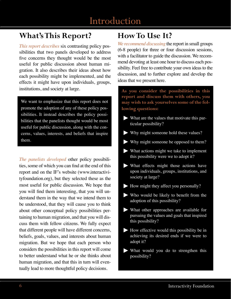# Introduction

# **What's This Report?**

*This report describes* six contrasting policy possibilities that two panels developed to address five concerns they thought would be the most useful for public discussion about human migration. It also describes their ideas about how each possibility might be implemented, and the effects it might have upon individuals, groups, institutions, and society at large.

We want to emphasize that this report does not promote the adoption of any of these policy possibilities. It instead describes the policy possibilities that the panelists thought would be most useful for public discussion, along with the concerns, values, interests, and beliefs that inspire them.

*The panelists developed* other policy possibilities, some of which you can find at the end of this report and on the IF's website (www.interactivityfoundation.org), but they selected these as the most useful for public discussion. We hope that you will find them interesting, that you will understand them in the way that we intend them to be understood, that they will cause you to think about other conceptual policy possibilities pertaining to human migration, and that you will discuss them with fellow citizens. We fully expect that different people will have different concerns, beliefs, goals, values, and interests about human migration. But we hope that each person who considers the possibilities in this report will come to better understand what he or she thinks about human migration, and that this in turn will eventually lead to more thoughtful policy decisions.

# **How To Use It?**

*We recommend discussing* the report in small groups (6-8 people) for three or four discussion sessions, with a facilitator to guide the discussion. We recommend devoting at least one hour to discuss each possibility. Feel free to contribute your own ideas to the discussion, and to further explore and develop the ideas that we present here.

**As you consider the possibilities in this report and discuss them with others, you may wish to ask yourselves some of the following questions:** 

- **Ź** What are the values that motivate this particular possibility?
- $\blacktriangleright$  Why might someone hold these values?
- $\blacktriangleright$  Why might someone be opposed to them?
- **Ź** What actions might we take to implement this possibility were we to adopt it?
- $\blacktriangleright$  What effects might those actions have upon individuals, groups, institutions, and society at large?
- $\blacktriangleright$  How might they affect you personally?
- $\blacktriangleright$  Who would be likely to benefit from the adoption of this possibility?
- **Ź** What other approaches are available for pursuing the values and goals that inspired this possibility?
- **Ź** How effective would this possibility be in achieving its desired ends if we were to adopt it?
- **Ź** What would you do to strengthen this possibility?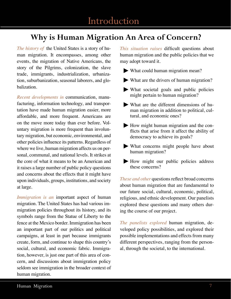# **Why is Human Migration An Area of Concern?**

*The history of* the United States is a story of human migration. It encompasses, among other events, the migration of Native Americans, the story of the Pilgrims, colonization, the slave trade, immigrants, industrialization, urbanization, suburbanization, seasonal laborers, and globalization.

*Recent developments in* communication, manufacturing, information technology, and transportation have made human migration easier, more affordable, and more frequent. Americans are on the move more today than ever before. Voluntary migration is more frequent than involuntary migration, but economic, environmental, and other policies influence its patterns. Regardless of where we live, human migration affects us on personal, communal, and national levels. It strikes at the core of what it means to be an American and it raises a large number of public policy questions and concerns about the effects that it might have upon individuals, groups, institutions, and society at large.

*Immigration is an* important aspect of human migration. The United States has had various immigration policies throughout its history, and its symbols range from the Statue of Liberty to the fence at the Mexico border. Immigration has been an important part of our politics and political campaigns, at least in part because immigrants create, form, and continue to shape this country's social, cultural, and economic fabric. Immigration, however, is just one part of this area of concern, and discussions about immigration policy seldom see immigration in the broader context of human migration.

*This situation raises* difficult questions about human migration and the public policies that we may adopt toward it.

- ʇ What could human migration mean?
- ʇ What are the drivers of human migration?
- ʇ What societal goals and public policies might pertain to human migration?
- ʇ What are the different dimensions of human migration in addition to political, cultural, and economic ones?
- ʇ How might human migration and the conflicts that arise from it affect the ability of democracy to achieve its goals?
- ʇ What concerns might people have about human migration?
- ʇ How might our public policies address these concerns?

*These and other* questions reflect broad concerns about human migration that are fundamental to our future social, cultural, economic, political, religious, and ethnic development. Our panelists explored these questions and many others during the course of our project.

*The panelists explored* human migration, developed policy possibilities, and explored their possible implementations and effects from many different perspectives, ranging from the personal, through the societal, to the international.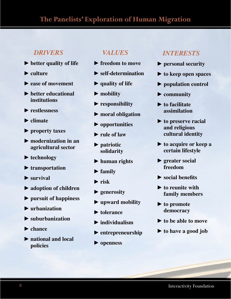### **The Panelists' Exploration of Human Migration**

### *DRIVERS*

- **►** better quality of life
- **Ź culture**
- **Ź ease of movement**
- **Ź better educational institutions**
- **Ź restlessness**
- **Ź climate**
- **Ź property taxes**
- **Ź modernization in an agricultural sector**
- **Ź technology**
- **Ź transportation**
- **Ź survival**
- **Ź adoption of children**
- **Ź pursuit of happiness**
- **Ź urbanization**
- **Ź suburbanization**
- **Ź chance**
- **Ź national and local policies**

### *VALUES*

- **Ź freedom to move**
- **Ź self-determination**
- **Ź quality of life**
- **Ź mobility**
- **Ź responsibility**
- **Ź moral obligation**
- **Ź opportunities**
- **Ź rule of law**
- **Ź patriotic solidarity**
- **Ź human rights**
- **Ź family**
- **Ź risk**
- **Ź generosity**
- **Ź upward mobility**
- **► tolerance**
- **Ź individualism**
- **Ź entrepreneurship**
- **Ź openness**

#### *INTERESTS*

- **Ź personal security**
- **►** to keep open spaces
- **Ź population control**
- **Ź community**
- **▶ to facilitate assimilation**
- **▶ to preserve racial and religious cultural identity**
- **►** to acquire or keep a **certain lifestyle**
- **Ź greater social freedom**
- $\blacktriangleright$  social benefits
- **Ź to reunite with family members**
- ▶ **to promote democracy**
- **★ to be able to move**
- **Ź to have a good job**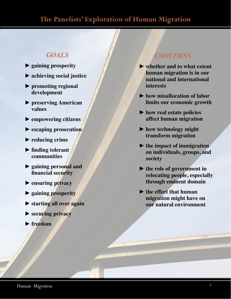### **The Panelists' Exploration of Human Migration**

### *GOALS*

- **Ź gaining prosperity**
- **►** achieving social justice
- **Ź promoting regional development**
- **Ź preserving American values**
- **Ź empowering citizens**
- **Ź escaping prosecution**
- **Ź reducing crime**
- $\blacktriangleright$  finding tolerant **communities**
- **Ź gaining personal and financial security**
- **Ź ensuring privacy**
- **Ź gaining prosperity**
- **Ź starting all over again**
- **Ź securing privacy**
- **Ź freedom**

### *CONCERNS*

- **Ź whether and to what extent human migration is in our national and international interests**
- **Ź how misallocation of labor limits our economic growth**
- ▶ how real estate policies **affect human migration**
- ▶ how technology might **transform migration**
- **Ź the impact of immigration on individuals, groups, and society**
- **Ź the role of government in relocating people, especially through eminent domain**
- **►** the effect that human **migration might have on our natural environment**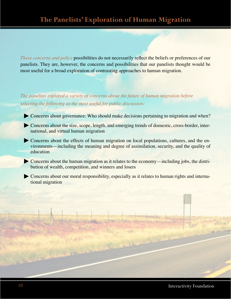*These concerns and policy* possibilities do not necessarily reflect the beliefs or preferences of our panelists. They are, however, the concerns and possibilities that our panelists thought would be most useful for a broad exploration of contrasting approaches to human migration.

*The panelists explored a variety of concerns about the future of human migration before selecting the following as the most useful for public discussion:*

- Concerns about governance: Who should make decisions pertaining to migration and when?
- ʇ Concerns about the size, scope, length, and emerging trends of domestic, cross-border, international, and virtual human migration
- Concerns about the effects of human migration on local populations, cultures, and the environments—including the meaning and degree of assimilation, security, and the quality of education
- ʇ Concerns about the human migration as it relates to the economy—including jobs, the distribution of wealth, competition, and winners and losers
- Concerns about our moral responsibility, especially as it relates to human rights and international migration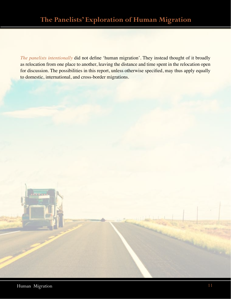*The panelists intentionally* did not define 'human migration'. They instead thought of it broadly as relocation from one place to another, leaving the distance and time spent in the relocation open for discussion. The possibilities in this report, unless otherwise specified, may thus apply equally to domestic, international, and cross-border migrations.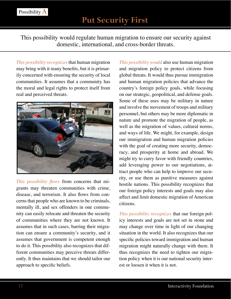This possibility would regulate human migration to ensure our security against domestic, international, and cross-border threats.

*This possibility recognizes* that human migration may bring with it many benefits, but it is primarily concerned with ensuring the security of local communities. It assumes that a community has the moral and legal rights to protect itself from real and perceived threats.



*This possibility flows* from concerns that migrants may threaten communities with crime, disease, and terrorism. It also flows from concerns that people who are known to be criminals, mentally ill, and sex offenders in one community can easily relocate and threaten the security of communities where they are not known. It assumes that in such cases, barring their migration can ensure a community's security, and it assumes that government is competent enough to do it. This possibility also recognizes that different communities may perceive threats differently. It thus maintains that we should tailor our approach to specific beliefs.

*This possibility would* also use human migration and migration policy to protect citizens from global threats. It would thus pursue immigration and human migration policies that advance the country's foreign policy goals, while focusing on our strategic, geopolitical, and defense goals. Some of these uses may be military in nature and involve the movement of troops and military personnel, but others may be more diplomatic in nature and promote the migration of people, as well as the migration of values, cultural norms, and ways of life. We might, for example, design our immigration and human migration policies with the goal of creating more security, democracy, and prosperity at home and abroad. We might try to curry favor with friendly countries, add leveraging power to our negotiations, attract people who can help to improve our security, or use them as punitive measures against hostile nations. This possibility recognizes that our foreign policy interests and goals may also affect and limit domestic migration of American citizens.

*This possibility recognizes* that our foreign policy interests and goals are not set in stone and may change over time in light of our changing situation in the world. It also recognizes that our specific policies toward immigration and human migration might naturally change with them. It thus recognizes the need to tighten our migration policy when it is our national security interest or loosen it when it is not.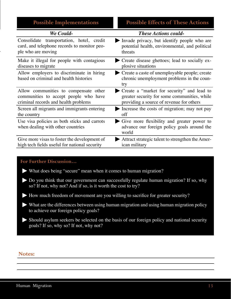| <b>Possible Implementations</b>                                                                                                                        | <b>Possible Effects of These Actions</b>                                                                                               |  |
|--------------------------------------------------------------------------------------------------------------------------------------------------------|----------------------------------------------------------------------------------------------------------------------------------------|--|
| We Could-                                                                                                                                              | <b>These Actions could-</b>                                                                                                            |  |
| Consolidate transportation, hotel, credit<br>card, and telephone records to monitor peo-<br>ple who are moving                                         | Invade privacy, but identify people who are<br>potential health, environmental, and political<br>threats                               |  |
| Make it illegal for people with contagious<br>diseases to migrate                                                                                      | Create disease ghettoes; lead to socially ex-<br>plosive situations                                                                    |  |
| Allow employers to discriminate in hiring<br>based on criminal and health histories                                                                    | Create a caste of unemployable people; create<br>chronic unemployment problems in the coun-<br>try                                     |  |
| Allow communities to compensate other<br>communities to accept people who have<br>criminal records and health problems                                 | Create a "market for security" and lead to<br>greater security for some communities, while<br>providing a source of revenue for others |  |
| Screen all migrants and immigrants entering<br>the country                                                                                             | Increase the costs of migration; may not pay<br>off                                                                                    |  |
| Use visa policies as both sticks and carrots<br>when dealing with other countries                                                                      | Give more flexibility and greater power to<br>advance our foreign policy goals around the<br>world                                     |  |
| Give more visas to foster the development of<br>high tech fields useful for national security                                                          | Attract strategic talent to strengthen the Amer-<br>ican military                                                                      |  |
|                                                                                                                                                        |                                                                                                                                        |  |
| For Further Discussion                                                                                                                                 |                                                                                                                                        |  |
| • What does being "secure" mean when it comes to human migration?                                                                                      |                                                                                                                                        |  |
| Do you think that our government can successfully regulate human migration? If so, why<br>so? If not, why not? And if so, is it worth the cost to try? |                                                                                                                                        |  |
| How much freedom of movement are you willing to sacrifice for greater security?                                                                        |                                                                                                                                        |  |
| What are the differences between using human migration and using human migration policy<br>to achieve our foreign policy goals?                        |                                                                                                                                        |  |
| Should asylum seekers be selected on the basis of our foreign policy and national security<br>goals? If so, why so? If not, why not?                   |                                                                                                                                        |  |
|                                                                                                                                                        |                                                                                                                                        |  |
| <b>Notes:</b>                                                                                                                                          |                                                                                                                                        |  |

#### **For Further Discussion…**

- $\blacktriangleright$  What does being "secure" mean when it comes to human migration?
- **★** Do you think that our government can successfully regulate human migration? If so, why so? If not, why not? And if so, is it worth the cost to try?
- $\blacktriangleright$  How much freedom of movement are you willing to sacrifice for greater security?
- **Ź** What are the differences between using human migration and using human migration policy to achieve our foreign policy goals?
- $\blacktriangleright$  Should asylum seekers be selected on the basis of our foreign policy and national security goals? If so, why so? If not, why not?

#### **Notes:**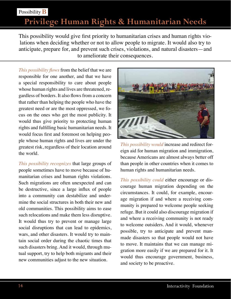### Possibility **B**

# **Privilege Human Rights & Humanitarian Needs**

This possibility would give first priority to humanitarian crises and human rights violations when deciding whether or not to allow people to migrate. It would also try to anticipate, prepare for, and prevent such crises, violations, and natural disasters—and to ameliorate their consequences.

*This possibility flows from the belief that we are* responsible for one another, and that we have a special responsibility to care about people whose human rights and lives are threatened, regardless of borders. It also flows from a concern that rather than helping the people who have the greatest need or are the most oppressed, we focus on the ones who get the most publicity. It would thus give priority to protecting human rights and fulfilling basic humanitarian needs. It would focus first and foremost on helping people whose human rights and lives are under the greatest risk, regardless of their location around the world.

*This possibility recognizes* that large groups of people sometimes have to move because of humanitarian crises and human rights violations. Such migrations are often unexpected and can be destructive, since a large influx of people into a community can destabilize and undermine the social structures in both their new and old communities. This possibility aims to ease such relocations and make them less disruptive. It would thus try to prevent or manage large social disruptions that can lead to epidemics, wars, and other disasters. It would try to maintain social order during the chaotic times that such disasters bring. And it would, through mutual support, try to help both migrants and their new communities adjust to the new situation.



*This possibility would* increase and redirect foreign aid for human migration and immigration, because Americans are almost always better off than people in other countries when it comes to human rights and humanitarian needs.

*This possibility could* either encourage or discourage human migration depending on the circumstances. It could, for example, encourage migration if and where a receiving community is prepared to welcome people seeking refuge. But it could also discourage migration if and where a receiving community is not ready to welcome outsiders. And it would, whenever possible, try to anticipate and prevent manmade disasters so that people would not have to move. It maintains that we can manage migration more easily if we are prepared for it. It would thus encourage government, business, and society to be proactive.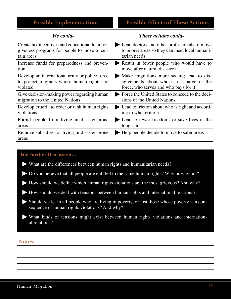| We could-                                              | <b>These actions could-</b>                     |
|--------------------------------------------------------|-------------------------------------------------|
| Create tax incentives and educational loan for-        | Lead doctors and other professionals to move    |
| giveness programs for people to move to cer-           | to poorer areas so they can meet local humani-  |
| tain areas                                             | tarian needs                                    |
| Increase funds for preparedness and preven-            | Result in fewer people who would have to        |
| tion                                                   | move after natural disasters                    |
| Develop an international army or police force          | Make migrations more secure; lead to dis-       |
| to protect migrants whose human rights are             | agreements about who is in charge of the        |
| violated                                               | force, who serves and who pays for it           |
| Give decision-making power regarding human             | Force the United States to concede to the deci- |
| migration to the United Nations                        | sions of the United Nations                     |
| Develop criteria to order or rank human rights         | Lead to friction about who is right and accord- |
| violations                                             | ing to what criteria                            |
| Forbid people from living in disaster-prone            | Lead to fewer freedoms or save lives in the     |
| areas                                                  | long run                                        |
| Remove subsidies for living in disaster-prone<br>areas | Help people decide to move to safer areas       |

#### **For Further Discussion…**

- **Ź** What are the differences between human rights and humanitarian needs?
- $\blacktriangleright$  Do you believe that all people are entitled to the same human rights? Why or why not?
- $\blacktriangleright$  How should we define which human rights violations are the most grievous? And why?
- **Ź** How should we deal with tensions between human rights and international relations?
- $\blacktriangleright$  Should we let in all people who are living in poverty, or just those whose poverty is a consequence of human rights violations? And why?
- **Ź** What kinds of tensions might exist between human rights violations and international relations?

#### **Notes:**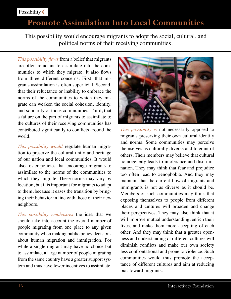# **Promote Assimilation Into Local Communities**

This possibility would encourage migrants to adopt the social, cultural, and political norms of their receiving communities.

*This possibility flows from a belief that migrants* are often reluctant to assimilate into the communities to which they migrate. It also flows from three different concerns. First, that migrants assimilation is often superficial. Second, that their reluctance or inability to embrace the norms of the communities to which they migrate can weaken the social cohesion, identity, and solidarity of those communities. Third, that a failure on the part of migrants to assimilate to the cultures of their receiving communities has contributed significantly to conflicts around the world.

*This possibility would* regulate human migration to preserve the cultural unity and heritage of our nation and local communities. It would also foster policies that encourage migrants to assimilate to the norms of the communities to which they migrate. These norms may vary by location, but it is important for migrants to adapt to them, because it eases the transition by bringing their behavior in line with those of their new neighbors.

*This possibility emphasizes* the idea that we should take into account the overall number of people migrating from one place to any given community when making public policy decisions about human migration and immigration. For while a single migrant may have no choice but to assimilate, a large number of people migrating from the same country have a greater support system and thus have fewer incentives to assimilate.



*This possibility is* not necessarily opposed to migrants preserving their own cultural identity and norms. Some communities may perceive themselves as culturally diverse and tolerant of others. Their members may believe that cultural homogeneity leads to intolerance and discrimination. They may think that fear and prejudice too often lead to xenophobia. And they may maintain that the current flow of migrants and immigrants is not as diverse as it should be. Members of such communities may think that exposing themselves to people from different places and cultures will broaden and change their perspectives. They may also think that it will improve mutual understanding, enrich their lives, and make them more accepting of each other. And they may think that a greater openness and understanding of different cultures will diminish conflicts and make our own society less confrontational and prone to violence. Such communities would thus promote the acceptance of different cultures and aim at reducing bias toward migrants.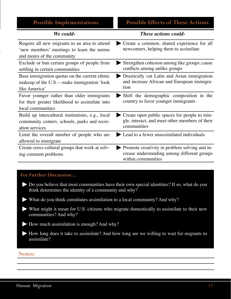| <b>Possible Implementations</b> |  |  |
|---------------------------------|--|--|
|                                 |  |  |
|                                 |  |  |

### **Possible Effects of These Actions**

| We could-                                                                                                          | <b>These actions could-</b>                                                                                        |
|--------------------------------------------------------------------------------------------------------------------|--------------------------------------------------------------------------------------------------------------------|
| Require all new migrants to an area to attend<br>'new members' meetings to learn the norms                         | Create a common, shared experience for all<br>newcomers, helping them to assimilate                                |
| and mores of the community                                                                                         |                                                                                                                    |
| Exclude or ban certain groups of people from<br>settling in certain communities                                    | Strengthen cohesion among like groups; cause<br>conflicts among unlike groups                                      |
| Base immigration quotas on the current ethnic<br>makeup of the $U.S.-$ make immigration 'look<br>like America'     | Drastically cut Latin and Asian immigration<br>and increase African and European immigra-<br>tion                  |
| Favor younger rather than older immigrants<br>for their greater likelihood to assimilate into<br>local communities | Shift the demographic composition in the<br>country to favor younger immigrants                                    |
| Build up intercultural institutions, e.g., local<br>community centers, schools, parks and recre-<br>ation services | Create open public spaces for people to min-<br>gle, interact, and meet other members of their<br>communities      |
| Limit the overall number of people who are<br>allowed to immigrate                                                 | • Lead to a fewer unassimilated individuals                                                                        |
| Create cross-cultural groups that work at solv-<br>ing common problems                                             | Promote creativity in problem solving and in-<br>crease understanding among different groups<br>within communities |

#### **For Further Discussion…**

- **Ź** Do you believe that most communities have their own special identities? If so, what do you think determines the identity of a community and why?
- **Ź** What do you think constitutes assimilation to a local community? And why?
- **Ź** What might it mean for U.S. citizens who migrate domestically to assimilate to their new communities? And why?
- **★** How much assimilation is enough? And why?
- **Ź** How long does it take to assimilate? And how long are we willing to wait for migrants to assimilate?

#### **Notes:**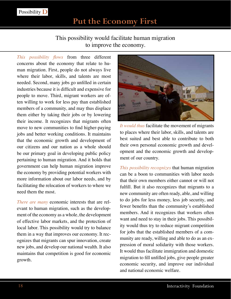### This possibility would facilitate human migration to improve the economy.

*This possibility flows* from three different concerns about the economy that relate to human migration. First, people do not always live where their labor, skills, and talents are most needed. Second, many jobs go unfilled in certain industries because it is difficult and expensive for people to move. Third, migrant workers are often willing to work for less pay than established members of a community, and may thus displace them either by taking their jobs or by lowering their income. It recognizes that migrants often move to new communities to find higher-paying jobs and better working conditions. It maintains that the economic growth and development of our citizens and our nation as a whole should be our primary goal in developing public policy pertaining to human migration. And it holds that government can help human migration improve the economy by providing potential workers with more information about our labor needs, and by facilitating the relocation of workers to where we need them the most.

*There are many* economic interests that are relevant to human migration, such as the development of the economy as a whole, the development of effective labor markets, and the protection of local labor. This possibility would try to balance them in a way that improves our economy. It recognizes that migrants can spur innovation, create new jobs, and develop our national wealth. It also maintains that competition is good for economic growth.



*It would thus* facilitate the movement of migrants to places where their labor, skills, and talents are best suited and best able to contribute to both their own personal economic growth and development and the economic growth and development of our country.

*This possibility recognizes* that human migration can be a boon to communities with labor needs that their own members either cannot or will not fulfill. But it also recognizes that migrants to a new community are often ready, able, and willing to do jobs for less money, less job security, and fewer benefits than the community's established members. And it recognizes that workers often want and need to stay in their jobs. This possibility would thus try to reduce migrant competition for jobs that the established members of a community are ready, willing and able to do as an expression of moral solidarity with those workers. It would thus facilitate immigration and domestic migration to fill unfilled jobs, give people greater economic security, and improve our individual and national economic welfare.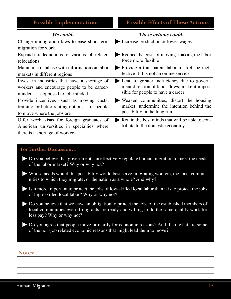| <b>Possible Implementations</b> |
|---------------------------------|
|                                 |

| We could-                                      | <b>These actions could-</b>                     |
|------------------------------------------------|-------------------------------------------------|
| Change immigration laws to ease short-term     | Increase production or lower wages              |
| migration for work                             |                                                 |
| Expand tax deductions for various job-related  | Reduce the costs of moving, making the labor    |
| relocations                                    | force more flexible                             |
| Maintain a database with information on labor  | Provide a transparent labor market; be inef-    |
| markets in different regions                   | fective if it is not an online service          |
| Invest in industries that have a shortage of   | Lead to greater inefficiency due to govern-     |
| workers and encourage people to be career-     | ment direction of labor flows; make it impos-   |
| minded—as opposed to job-minded                | sible for people to have a career               |
| Provide incentives—such as moving costs,       | Weaken communities; distort the housing         |
| training, or better renting options—for people | market; undermine the intention behind the      |
| to move where the jobs are                     | possibility in the long run                     |
| Offer work visas for foreign graduates of      | Retain the best minds that will be able to con- |
| American universities in specialties where     | tribute to the domestic economy                 |
| there is a shortage of workers                 |                                                 |

#### **For Further Discussion…**

- $\blacktriangleright$  Do you believe that government can effectively regulate human migration to meet the needs of the labor market? Why or why not?
- **Ź** Whose needs would this possibility would best serve: migrating workers, the local communities to which they migrate, or the nation as a whole? And why?
- $\blacktriangleright$  Is it more important to protect the jobs of low-skilled local labor than it is to protect the jobs of high-skilled local labor? Why or why not?
- $\blacktriangleright$  Do you believe that we have an obligation to protect the jobs of the established members of local communities even if migrants are ready and willing to do the same quality work for less pay? Why or why not?
- $\blacktriangleright$  Do you agree that people move primarily for economic reasons? And if so, what are some of the non-job related economic reasons that might lead them to move?

### **Notes:**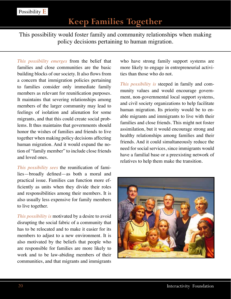This possibility would foster family and community relationships when making policy decisions pertaining to human migration.

*This possibility emerges* from the belief that families and close communities are the basic building blocks of our society. It also flows from a concern that immigration policies pertaining to families consider only immediate family members as relevant for reunification purposes. It maintains that severing relationships among members of the larger community may lead to feelings of isolation and alienation for some migrants, and that this could create social problems. It thus maintains that governments should honor the wishes of families and friends to live together when making policy decisions affecting human migration. And it would expand the notion of "family member" to include close friends and loved ones.

*This possibility sees* the reunification of families—broadly defined—as both a moral and practical issue. Families can function more efficiently as units when they divide their roles and responsibilities among their members. It is also usually less expensive for family members to live together.

*This possibility is* motivated by a desire to avoid disrupting the social fabric of a community that has to be relocated and to make it easier for its members to adjust to a new environment. It is also motivated by the beliefs that people who are responsible for families are more likely to work and to be law-abiding members of their communities, and that migrants and immigrants

who have strong family support systems are more likely to engage in entrepreneurial activities than those who do not.

*This possibility is* steeped in family and community values and would encourage government, non-governmental local support systems, and civil society organizations to help facilitate human migration. Its priority would be to enable migrants and immigrants to live with their families and close friends. This might not foster assimilation, but it would encourage strong and healthy relationships among families and their friends. And it could simultaneously reduce the need for social services, since immigrants would have a familial base or a preexisting network of relatives to help them make the transition.

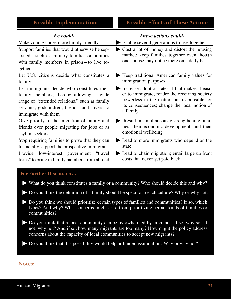| We could-                                                                                                                                            | <b>These actions could-</b>                                                                                                               |
|------------------------------------------------------------------------------------------------------------------------------------------------------|-------------------------------------------------------------------------------------------------------------------------------------------|
| Make zoning codes more family friendly                                                                                                               | Enable several generations to live together                                                                                               |
| Support families that would otherwise be sep-<br>arated—such as military families or families<br>with family members in prison—to live to-<br>gether | Cost a lot of money and distort the housing<br>market; keep families together even though<br>one spouse may not be there on a daily basis |
| Let U.S. citizens decide what constitutes a                                                                                                          | Keep traditional American family values for                                                                                               |
| family                                                                                                                                               | immigration purposes                                                                                                                      |
| Let immigrants decide who constitutes their                                                                                                          | Increase adoption rates if that makes it easi-                                                                                            |
| family members, thereby allowing a wide                                                                                                              | er to immigrate; render the receiving society                                                                                             |
| range of "extended relations," such as family                                                                                                        | powerless in the matter, but responsible for                                                                                              |
| servants, godchildren, friends, and lovers to                                                                                                        | its consequences; change the local notion of                                                                                              |
| immigrate with them                                                                                                                                  | a family                                                                                                                                  |
| Give priority to the migration of family and                                                                                                         | Result in simultaneously strengthening fami-                                                                                              |
| friends over people migrating for jobs or as                                                                                                         | lies, their economic development, and their                                                                                               |
| asylum seekers                                                                                                                                       | emotional wellbeing                                                                                                                       |
| Stop requiring families to prove that they can                                                                                                       | Lead to more immigrants who depend on the                                                                                                 |
| financially support the prospective immigrant                                                                                                        | state                                                                                                                                     |
| Provide low-interest government<br>"travel<br>loans" to bring in family members from abroad                                                          | Lead to chain migration; entail large up front<br>costs that never get paid back                                                          |

#### **For Further Discussion…**

- **Ź** What do you think constitutes a family or a community? Who should decide this and why?
- $\blacktriangleright$  Do you think the definition of a family should be specific to each culture? Why or why not?
- $\blacktriangleright$  Do you think we should prioritize certain types of families and communities? If so, which types? And why? What concerns might arise from prioritizing certain kinds of families or communities?
- $\blacktriangleright$  Do you think that a local community can be overwhelmed by migrants? If so, why so? If not, why not? And if so, how many migrants are too many? How might the policy address concerns about the capacity of local communities to accept new migrants?
- $\blacktriangleright$  Do you think that this possibility would help or hinder assimilation? Why or why not?

#### **Notes:**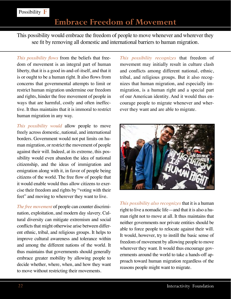## **Embrace Freedom of Movement**

This possibility would embrace the freedom of people to move whenever and wherever they see fit by removing all domestic and international barriers to human migration.

*This possibility flows from the beliefs that free*dom of movement is an integral part of human liberty, that it is a good in-and-of-itself, and that it is or ought to be a human right. It also flows from concerns that governmental attempts to limit or restrict human migration undermine our freedom and rights, hinder the free movement of people in ways that are harmful, costly and often ineffective. It thus maintains that it is immoral to restrict human migration in any way.

*This possibility would* allow people to move freely across domestic, national, and international borders. Government would not put limits on human migration, or restrict the movement of people against their will. Indeed, at its extreme, this possibility would even abandon the idea of national citizenship, and the ideas of immigration and emigration along with it, in favor of people being citizens of the world. The free flow of people that it would enable would thus allow citizens to exercise their freedom and rights by "voting with their feet" and moving to wherever they want to live.

*The free movement* of people can counter discrimination, exploitation, and modern day slavery. Cultural diversity can mitigate extremism and social conflicts that might otherwise arise between different ethnic, tribal, and religious groups. It helps to improve cultural awareness and tolerance within and among the different nations of the world. It thus maintains that governments should generally embrace greater mobility by allowing people to decide whether, where, when, and how they want to move without restricting their movements.

*This possibility recognizes* that freedom of movement may initially result in culture clash and conflicts among different national, ethnic, tribal, and religious groups. But it also recognizes that human migration, and especially immigration, is a human right and a special part of our American identity. And it would thus encourage people to migrate whenever and wherever they want and are able to migrate.



*This possibility also recognizes* that it is a human right to live a nomadic life—and that it is also a human right not to move at all. It thus maintains that neither governments nor private entities should be able to force people to relocate against their will. It would, however, try to instill the basic sense of freedom of movement by allowing people to move wherever they want. It would thus encourage governments around the world to take a hands-off approach toward human migration regardless of the reasons people might want to migrate.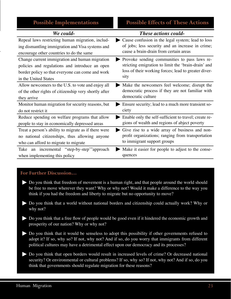| <b>Possible Implementations</b>                                                 | <b>Possible Effects of These Actions</b>                     |
|---------------------------------------------------------------------------------|--------------------------------------------------------------|
| We could-                                                                       | <b>These actions could-</b>                                  |
| Repeal laws restricting human migration, includ-                                | Cause confusion in the legal system; lead to loss            |
| ing dismantling immigration and Visa systems and                                | of jobs; less security and an increase in crime;             |
| encourage other countries to do the same                                        | cause a brain-drain from certain areas                       |
| Change current immigration and human migration                                  | Provoke sending communities to pass laws re-                 |
| policies and regulations and introduce an open                                  | stricting emigration to limit the 'brain-drain' and          |
| border policy so that everyone can come and work                                | loss of their working forces; lead to greater diver-         |
| in the United States                                                            | sity                                                         |
| Allow newcomers to the U.S. to vote and enjoy all                               | Make the newcomers feel welcome; disrupt the                 |
| of the other rights of citizenship very shortly after                           | democratic process if they are not familiar with             |
| they arrive                                                                     | democratic culture                                           |
| Monitor human migration for security reasons, but                               | Ensure security; lead to a much more transient so-           |
| do not restrict it                                                              | ciety                                                        |
| Reduce spending on welfare programs that allow                                  | Enable only the self-sufficient to travel; create re-        |
| people to stay in economically depressed areas                                  | gions of wealth and regions of abject poverty                |
| Treat a person's ability to migrate as if there were                            | Give rise to a wide array of business and non-               |
| no national citizenships, thus allowing anyone                                  | profit organizations; ranging from transportation            |
| who can afford to migrate to migrate                                            | to immigrant support groups                                  |
| an incremental "step-by-step" approach<br>Take<br>when implementing this policy | Make it easier for people to adjust to the conse-<br>quences |

#### **For Further Discussion…**

- $\blacktriangleright$  Do you think that freedom of movement is a human right, and that people around the world should be free to move wherever they want? Why or why not? Would it make a difference to the way you think if you had the freedom and liberty to migrate but no opportunity to move?
- $\blacktriangleright$  Do you think that a world without national borders and citizenship could actually work? Why or why not?
- $\blacktriangleright$  Do you think that a free flow of people would be good even if it hindered the economic growth and prosperity of our nation? Why or why not?
- $\blacktriangleright$  Do you think that it would be senseless to adopt this possibility if other governments refused to adopt it? If so, why so? If not, why not? And if so, do you worry that immigrants from different political cultures may have a detrimental effect upon our democracy and its processes?
- $\blacktriangleright$  Do you think that open borders would result in increased levels of crime? Or decreased national security? Or environmental or cultural problems? If so, why so? If not, why not? And if so, do you think that governments should regulate migration for these reasons?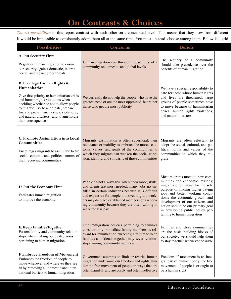# **On Contrasts & Choices**

*The six possibilities* in this report contrast with each other on a conceptual level. This means that they flow from different It would be impossible to consistently adopt them all at the same time. You must, instead, choose among them. Below is a grid

| <b>Possibilities</b>                                                                                                                                                                                                                                                                                                              | Concerns                                                                                                                                                                                                                                                                                                                                      | <b>Beliefs</b>                                                                                                                                                                                                                                                                                                                                         |
|-----------------------------------------------------------------------------------------------------------------------------------------------------------------------------------------------------------------------------------------------------------------------------------------------------------------------------------|-----------------------------------------------------------------------------------------------------------------------------------------------------------------------------------------------------------------------------------------------------------------------------------------------------------------------------------------------|--------------------------------------------------------------------------------------------------------------------------------------------------------------------------------------------------------------------------------------------------------------------------------------------------------------------------------------------------------|
| A. Put Security First<br>Regulates human migration to ensure<br>our security against domestic, interna-<br>tional, and cross-border threats                                                                                                                                                                                       | Human migration can threaten the security of a<br>community on domestic and global levels                                                                                                                                                                                                                                                     | The security of a community<br>should take precedence over the<br>benefits of human migration                                                                                                                                                                                                                                                          |
| B. Privilege Human Rights &<br>Humanitarian<br>Give first priority to humanitarian crisis<br>and human rights violations when<br>deciding whether or not to allow people<br>to migrate. Try to anticipate, prepare<br>for, and prevent such crises, violations,<br>and natural disasters--and to ameliorate<br>their consequences | We currently do not help the people who have the<br>greatest need or are the most oppressed, but rather<br>those who get the most publicity                                                                                                                                                                                                   | We have a special responsibility to<br>care for those whose human rights<br>and lives are threatened; large<br>groups of people sometimes have<br>to move because of humanitarian<br>crises, human rights violations,<br>and natural disasters                                                                                                         |
| C. Promote Assimilation into Local<br>Communities<br>Encourages migrants to assimilate to the<br>social, cultural, and political norms of<br>their receiving communities                                                                                                                                                          | Migrants' assimilation is often superficial; their Migrants are often reluctant to<br>reluctance or inability to embrace the mores, cus-<br>toms, values, and goals of the communities to<br>which they migrate can weaken the social cohe-<br>sion, identity, and solidarity of those communities grate                                      | adopt the social, cultural, and po-<br>litical norms and values of the<br>communities to which they mi-                                                                                                                                                                                                                                                |
| D. Put the Economy First<br>Facilitates human migration<br>to improve the economy                                                                                                                                                                                                                                                 | People do not always live where their labor, skills,<br>and talents are most needed; many jobs go un-<br>filled in certain industries because it is difficult<br>and expensive for people to move; migrant work-<br>ers may displace established members of a receiv-<br>ing community because they are often willing to<br>work for less pay | Most migrants move to new com-<br>munities for economic reasons;<br>migrants often move for the sole<br>purpose of finding higher-paying<br>jobs and better working condi-<br>tions; the economic growth and<br>development of our citizens and<br>nation should be our primary goal<br>in developing public policy per-<br>taining to human migration |
| E. Keep Families Together<br>Fosters family and community relation-<br>ships when making policy decisions<br>pertaining to human migration                                                                                                                                                                                        | Our immigration policies pertaining to families<br>consider only immediate family members as rel-<br>evant for reunification purposes; a failure to keep<br>families and friends together may sever relation-<br>ships among community members                                                                                                | Families and close communities<br>are the basic building blocks of<br>our society; we should help them<br>to stay together whenever possible                                                                                                                                                                                                           |
| F. Embrace Freedom of Movement<br>Embraces the freedom of people to<br>move whenever and wherever they see<br>fit by removing all domestic and inter-<br>national barriers to human migration                                                                                                                                     | Government attempts to limit or restrict human<br>migration undermine our freedom and rights, hin-<br>der the free movement of people in ways that are<br>often harmful, and are costly and often ineffective                                                                                                                                 | Freedom of movement is an inte-<br>gral part of human liberty; the free<br>movement of people is or ought to<br>be a human right                                                                                                                                                                                                                       |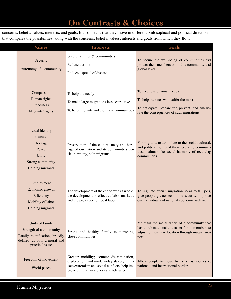# **On Contrasts & Choices**

concerns, beliefs, values, interests, and goals. It also means that they move in different philosophical and political directions. that compares the possibilities, along with the concerns, beliefs, values, interests and goals from which they flow.

| <b>Values</b>                                                                                                                  | <b>Interests</b>                                                                                                                                                                    | Goals                                                                                                                                                                                                  |
|--------------------------------------------------------------------------------------------------------------------------------|-------------------------------------------------------------------------------------------------------------------------------------------------------------------------------------|--------------------------------------------------------------------------------------------------------------------------------------------------------------------------------------------------------|
| Security<br>Autonomy of a community                                                                                            | Secure families & communities<br>Reduced crime<br>Reduced spread of disease                                                                                                         | To secure the well-being of communities and<br>protect their members on both a community and<br>global level                                                                                           |
| Compassion<br>Human rights<br>Readiness<br>Migrants' rights                                                                    | To help the needy<br>To make large migrations less destructive<br>To help migrants and their new communities                                                                        | To meet basic human needs<br>To help the ones who suffer the most<br>To anticipate, prepare for, prevent, and amelio-<br>rate the consequences of such migrations                                      |
| Local identity<br>Culture<br>Heritage<br>Peace<br>Unity<br>Strong community<br>Helping migrants                                | Preservation of the cultural unity and heri-<br>tage of our nation and its communities, so<br>cial harmony, help migrants                                                           | For migrants to assimilate to the social, cultural,<br>and political norms of their receiving communi-<br>ties; maintain the social harmony of receiving<br>communities                                |
| Employment<br>Economic growth<br>Efficiency<br>Mobility of labor<br>Helping migrants                                           | the development of effective labor markets,<br>and the protection of local labor                                                                                                    | The development of the economy as a whole, $\boxed{$ To regulate human migration so as to fill jobs,<br>give people greater economic security, improve<br>our individual and national economic welfare |
| Unity of family<br>Strength of a community<br>Family reunification, broadly<br>defined, as both a moral and<br>practical issue | Strong and healthy family relationships,<br>$\vert$ close communities                                                                                                               | Maintain the social fabric of a community that<br>has to relocate; make it easier for its members to<br>adjust to their new location through mutual sup-<br>port                                       |
| Freedom of movement<br>World peace                                                                                             | Greater mobility; counter discrimination,<br>exploitation, and modern-day slavery; miti-<br>gate extremism and social conflicts; help im-<br>prove cultural awareness and tolerance | Allow people to move freely across domestic,<br>national, and international borders                                                                                                                    |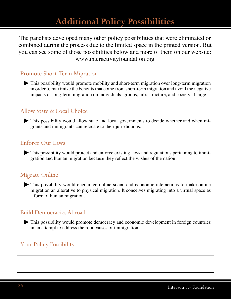# **Additional Policy Possibilities**

The panelists developed many other policy possibilities that were eliminated or combined during the process due to the limited space in the printed version. But you can see some of those possibilities below and more of them on our website: www.interactivityfoundation.org

### Promote Short-Term Migration

 $\blacktriangleright$  This possibility would promote mobility and short-term migration over long-term migration in order to maximize the benefits that come from short-term migration and avoid the negative impacts of long-term migration on individuals, groups, infrastructure, and society at large.

### Allow State & Local Choice

 $\blacktriangleright$  This possibility would allow state and local governments to decide whether and when migrants and immigrants can relocate to their jurisdictions.

### Enforce Our Laws

 $\blacktriangleright$  This possibility would protect and enforce existing laws and regulations pertaining to immigration and human migration because they reflect the wishes of the nation.

### Migrate Online

 $\blacktriangleright$  This possibility would encourage online social and economic interactions to make online migration an alterative to physical migration. It conceives migrating into a virtual space as a form of human migration.

### Build Democracies Abroad

 $\blacktriangleright$  This possibility would promote democracy and economic development in foreign countries in an attempt to address the root causes of immigration.

### Your Policy Possibility

**Ź** This possibility would …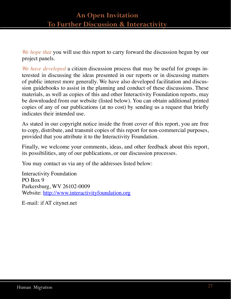### **An Open Invitation To Further Discussion & Interactivity**

*We hope that* you will use this report to carry forward the discussion begun by our project panels.

*We have developed* a citizen discussion process that may be useful for groups interested in discussing the ideas presented in our reports or in discussing matters of public interest more generally. We have also developed facilitation and discussion guidebooks to assist in the planning and conduct of these discussions. These materials, as well as copies of this and other Interactivity Foundation reports, may be downloaded from our website (listed below). You can obtain additional printed copies of any of our publications (at no cost) by sending us a request that briefly indicates their intended use.

As stated in our copyright notice inside the front cover of this report, you are free to copy, distribute, and transmit copies of this report for non-commercial purposes, provided that you attribute it to the Interactivity Foundation.

Finally, we welcome your comments, ideas, and other feedback about this report, its possibilities, any of our publications, or our discussion processes.

You may contact us via any of the addresses listed below:

Interactivity Foundation PO Box 9 Parkersburg, WV 26102-0009 Website: http://www.interactivityfoundation.org

E-mail: if AT citynet.net